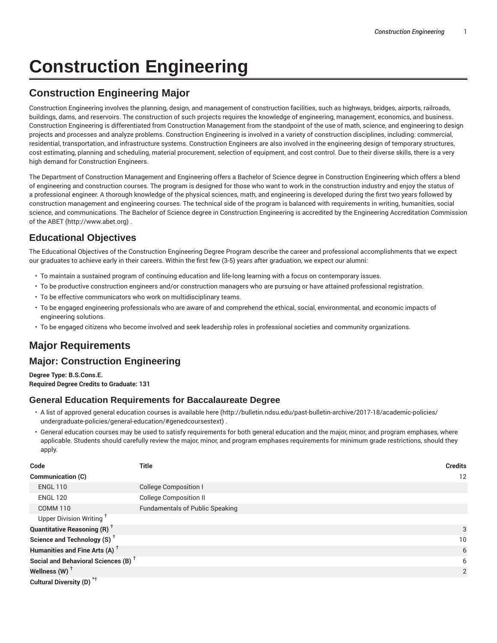# **Construction Engineering**

# **Construction Engineering Major**

Construction Engineering involves the planning, design, and management of construction facilities, such as highways, bridges, airports, railroads, buildings, dams, and reservoirs. The construction of such projects requires the knowledge of engineering, management, economics, and business. Construction Engineering is differentiated from Construction Management from the standpoint of the use of math, science, and engineering to design projects and processes and analyze problems. Construction Engineering is involved in a variety of construction disciplines, including: commercial, residential, transportation, and infrastructure systems. Construction Engineers are also involved in the engineering design of temporary structures, cost estimating, planning and scheduling, material procurement, selection of equipment, and cost control. Due to their diverse skills, there is a very high demand for Construction Engineers.

The Department of Construction Management and Engineering offers a Bachelor of Science degree in Construction Engineering which offers a blend of engineering and construction courses. The program is designed for those who want to work in the construction industry and enjoy the status of a professional engineer. A thorough knowledge of the physical sciences, math, and engineering is developed during the first two years followed by construction management and engineering courses. The technical side of the program is balanced with requirements in writing, humanities, social science, and communications. The Bachelor of Science degree in Construction Engineering is accredited by the Engineering Accreditation Commission of the ABET (http://www.abet.org) .

## **Educational Objectives**

The Educational Objectives of the Construction Engineering Degree Program describe the career and professional accomplishments that we expect our graduates to achieve early in their careers. Within the first few (3-5) years after graduation, we expect our alumni:

- To maintain a sustained program of continuing education and life-long learning with a focus on contemporary issues.
- To be productive construction engineers and/or construction managers who are pursuing or have attained professional registration.
- To be effective communicators who work on multidisciplinary teams.
- To be engaged engineering professionals who are aware of and comprehend the ethical, social, environmental, and economic impacts of engineering solutions.
- To be engaged citizens who become involved and seek leadership roles in professional societies and community organizations.

# **Major Requirements**

## **Major: Construction Engineering**

**Degree Type: B.S.Cons.E. Required Degree Credits to Graduate: 131**

#### **General Education Requirements for Baccalaureate Degree**

- A list of approved general education courses is available here (http://bulletin.ndsu.edu/past-bulletin-archive/2017-18/academic-policies/ undergraduate-policies/general-education/#genedcoursestext) .
- General education courses may be used to satisfy requirements for both general education and the major, minor, and program emphases, where applicable. Students should carefully review the major, minor, and program emphases requirements for minimum grade restrictions, should they apply.

| Code                                            | Title                                  | <b>Credits</b>  |
|-------------------------------------------------|----------------------------------------|-----------------|
| Communication (C)                               |                                        | 12              |
| <b>ENGL 110</b>                                 | <b>College Composition I</b>           |                 |
| <b>ENGL 120</b>                                 | <b>College Composition II</b>          |                 |
| <b>COMM 110</b>                                 | <b>Fundamentals of Public Speaking</b> |                 |
| Upper Division Writing <sup>+</sup>             |                                        |                 |
| <b>Quantitative Reasoning (R)</b> <sup>†</sup>  |                                        | 3               |
| Science and Technology (S) <sup>+</sup>         |                                        | 10 <sup>°</sup> |
| Humanities and Fine Arts (A) <sup>+</sup>       |                                        | 6               |
| Social and Behavioral Sciences (B) <sup>+</sup> |                                        | 6               |
| Wellness (W) $^{\dagger}$                       |                                        | 2               |
| Cultural Diversity (D) <sup>*†</sup>            |                                        |                 |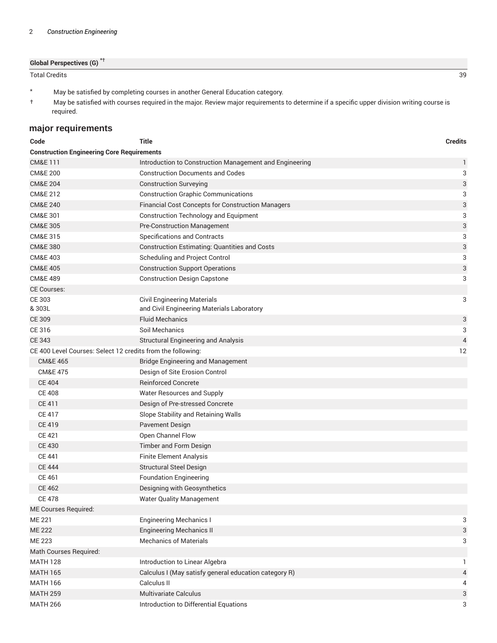| <b>Global Perspectives (G)<sup>*†</sup></b> |  |
|---------------------------------------------|--|
| <b>Total Credits</b>                        |  |

Total Credits 39

- \* May be satisfied by completing courses in another General Education category.
- † May be satisfied with courses required in the major. Review major requirements to determine if a specific upper division writing course is required.

### **major requirements**

| Code                                                        | <b>Title</b>                                            | <b>Credits</b>            |
|-------------------------------------------------------------|---------------------------------------------------------|---------------------------|
| <b>Construction Engineering Core Requirements</b>           |                                                         |                           |
| <b>CM&amp;E111</b>                                          | Introduction to Construction Management and Engineering | 1                         |
| <b>CM&amp;E 200</b>                                         | <b>Construction Documents and Codes</b>                 | 3                         |
| <b>CM&amp;E 204</b>                                         | <b>Construction Surveying</b>                           | 3                         |
| CM&E 212                                                    | <b>Construction Graphic Communications</b>              | 3                         |
| <b>CM&amp;E 240</b>                                         | Financial Cost Concepts for Construction Managers       | $\ensuremath{\mathsf{3}}$ |
| CM&E 301                                                    | <b>Construction Technology and Equipment</b>            | 3                         |
| <b>CM&amp;E 305</b>                                         | <b>Pre-Construction Management</b>                      | $\ensuremath{\mathsf{3}}$ |
| CM&E 315                                                    | <b>Specifications and Contracts</b>                     | 3                         |
| <b>CM&amp;E 380</b>                                         | <b>Construction Estimating: Quantities and Costs</b>    | 3                         |
| <b>CM&amp;E 403</b>                                         | Scheduling and Project Control                          | 3                         |
| <b>CM&amp;E 405</b>                                         | <b>Construction Support Operations</b>                  | $\ensuremath{\mathsf{3}}$ |
| <b>CM&amp;E 489</b>                                         | <b>Construction Design Capstone</b>                     | 3                         |
| <b>CE Courses:</b>                                          |                                                         |                           |
| CE 303                                                      | <b>Civil Engineering Materials</b>                      | 3                         |
| & 303L                                                      | and Civil Engineering Materials Laboratory              |                           |
| <b>CE 309</b>                                               | <b>Fluid Mechanics</b>                                  | 3                         |
| CE 316                                                      | Soil Mechanics                                          | 3                         |
| <b>CE 343</b>                                               | Structural Engineering and Analysis                     | $\overline{4}$            |
| CE 400 Level Courses: Select 12 credits from the following: |                                                         | 12                        |
| <b>CM&amp;E 465</b>                                         | <b>Bridge Engineering and Management</b>                |                           |
| <b>CM&amp;E 475</b>                                         | Design of Site Erosion Control                          |                           |
| <b>CE 404</b>                                               | <b>Reinforced Concrete</b>                              |                           |
| <b>CE 408</b>                                               | Water Resources and Supply                              |                           |
| CE 411                                                      | Design of Pre-stressed Concrete                         |                           |
| <b>CE 417</b>                                               | Slope Stability and Retaining Walls                     |                           |
| <b>CE 419</b>                                               | Pavement Design                                         |                           |
| CE 421                                                      | Open Channel Flow                                       |                           |
| <b>CE 430</b>                                               | Timber and Form Design                                  |                           |
| <b>CE 441</b>                                               | <b>Finite Element Analysis</b>                          |                           |
| <b>CE 444</b>                                               | <b>Structural Steel Design</b>                          |                           |
| <b>CE 461</b>                                               | <b>Foundation Engineering</b>                           |                           |
| <b>CE 462</b>                                               | Designing with Geosynthetics                            |                           |
| <b>CE 478</b>                                               | <b>Water Quality Management</b>                         |                           |
| ME Courses Required:                                        |                                                         |                           |
| <b>ME 221</b>                                               | <b>Engineering Mechanics I</b>                          | 3                         |
| <b>ME 222</b>                                               | <b>Engineering Mechanics II</b>                         | 3                         |
| <b>ME 223</b>                                               | <b>Mechanics of Materials</b>                           | 3                         |
| Math Courses Required:                                      |                                                         |                           |
| <b>MATH 128</b>                                             | Introduction to Linear Algebra                          | 1.                        |
| <b>MATH 165</b>                                             | Calculus I (May satisfy general education category R)   | 4                         |
| <b>MATH 166</b>                                             | Calculus II                                             | 4                         |
| <b>MATH 259</b>                                             | Multivariate Calculus                                   | 3                         |
| <b>MATH 266</b>                                             | Introduction to Differential Equations                  | 3                         |